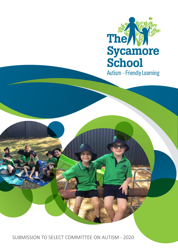

**Autism - Friendly Learning** 

SUBMISSION TO SELECT COMMITTEE ON AUTISM - 2020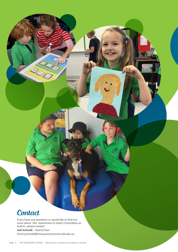# **Contact**

If you have any questions or would like to find out more about this Submission to Select Committee on Autism, please contact: **Jodi Schmidt** – Board Chair Email jschmidt@thesycamoreschool.qld.edu.au

**RADIO**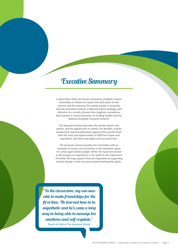# Executive Summary

In November 2019, the Senate resolved to establish a Select Committee on Autism to inquire into and report on the services and life outcomes for autistic people in Australia, and the associated need for a National Autism Strategy, with reference to a variety of areas from diagnosis, prevalence, best practice in service provision, to funding models and the National Disability Insurance Scheme.

The Sycamore School welcomes the Senate Inquiry into autism, and the opportunity to submit. For decades, autistic people have required dedicated supports that provide them with the tools and opportunities to fulfil their hopes and aspirations, and lead meaningful and successful lives.

The Sycamore School provides the Committee with an example of success and innovation in the education space for school aged autistic people. While The Sycamore School is still young in its experience, it can speak to the importance of holistic life-long supports that are imperative to supporting autistic people in their journeys toward meeting their goals.

"In the classroom, my son was able to make friendships for the first time. He learned how to be empathetic and he's come a long way in being able to manage his emotions and self-regulate,"

Parent of child at The Sycamore School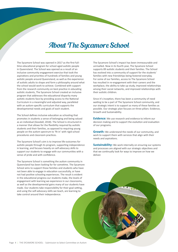# About The Sycamore School

The Sycamore School was opened in 2017 as the first fulltime educational program for school aged autistic people in Queensland. The School was opened as a result of an inclusive community engagement exercise that took the aspirations and priorities of hundreds of families and young autistic people around Queensland, as well as the experience of autistic adults to shape and form a philosophy around what the school would work to achieve. Combined with support from the research community on best practice in educating autistic students, The Sycamore School created an inclusive program that addresses the educational disparity many autistic students face by providing access to the National Curriculum in a meaningful and adjusted way, paralleled with an autism-specific curriculum that supports the developmental needs and goals of each student.

The School defines inclusive education as schooling that promotes in students a sense of belonging and being valued as an individual (Goodall, 2018). The School is structured in a manner that allows for the flexibility required by autistic students and their families, as opposed to requiring young people on the autism spectrum to 'fit in' with rigid school procedures and classroom practices.

The Sycamore School's aim is to improve life-outcomes for autistic people through its program, supporting independence in learning, and focuses heavily on self-advocacy skills to support our students to engage with our communities with a sense of pride and with confidence.

The Sycamore School is something the autism community in Queensland has been looking for for sometime. The Sycamore School aims to support those families and students who have not been able to engage in education successfully, or have not had positive schooling experiences. The result is evident in the educational progress our students make, the levels of engagement with learning we experience in our classrooms, as well as the developmental gains many of our students have made. Our students take responsibility for their goal setting, and using the self-advocacy skills we teach, are learning to take control around their independence.

The Sycamore School's impact has been immeasurable and unrivalled. Now in its fourth year, The Sycamore School supports 89 autistic students and their families. The School has evolved into a community of support for the students' families with new friendships being fostered everyday. For some of our families, access to The Sycamore School has resulted in re-engagement with their careers and the workplace, the ability to take up study, improved relationships among their social networks, and improved relationships with their autistic children.

Since it's inception, there has been a community of need waiting to be a part of The Sycamore School community, and our strategic intent is to support as many of these families as possible. Our strategic plan focuses on three pillars: Evidence, Growth and Sustainability.

**Evidence:** We use research and evidence to inform our decision making and to support the evolution and evaluation of our programs.

**Growth:** We understand the needs of our community, and work to support them with services that align with their needs and aspirations.

**Sustainability:** We work internally on ensuring our systems and processes are aligned with our strategic objectives and that we continually look for ways to improve on how we deliver.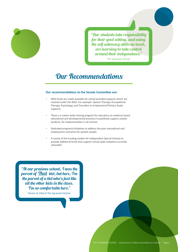

"Our students take responsibility for their goal setting, and using the self-advocacy skills we teach, are learning to take control around their independence."

The Sycamore School

# Our Recommendations

## **Our recommendations to the Senate Committee are:**

- NDIS funds are made available for school provided supports which are covered under the NDIS. For example: Speech Therapy, Occupational Therapy, Psychology, and Transition to Employment/Tertiary Study supports.
- There is a nation-wide training program for educators on evidence based educational and developmental practices to positively support autistic students, for implementation in all schools.
- Dedicated programs/initiatives to address the poor educational and employment outcomes for autistic people.
- A review of the funding models for Independent Special Schools to provide additional funds that support school-wide initiatives currently unfunded.

"At our previous school, I was the parent of That kid, but here, I'm the parent of  $\overline{a}$  kid who's just like all the other kids in the class. I'm so comfortable here." Parent of child at The Sycamore School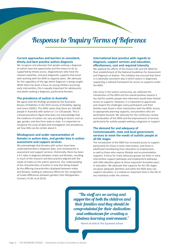# Response to Inquiry Terms of Reference

### **Current approaches and barriers to consistent, timely and best practice autism diagnosis**

We recognise and advocate that people seeking a diagnosis of autism have the opportunity and the means to do so, supported by timely access, diagnosticians who have the relevant expertise, and post-diagnostic supports that assist with working with the NDIS to organise plans. We advocate for this regardless of the age which diagnosis is being sought. While there has been a focus on young children accessing early intervention, this is equally important for adolescents and adults seeking a diagnosis, particularly females.

#### **The prevalence of autism in Australia**

We agree with the findings provided by the Australian Bureau of Statistics in the 2015 Survey of Disability, Ageing and Carers (SDAC). The SDAC states that there are 164,000 people in Australia with autism or 1 in 150 people. This is a broad prevalence figure that does not acknowledge that the incidence of autism can vary according to factors such as age, gender, and also from state to state. It is important to recognise the array of data and investigation into prevalence, yet how little can be certain about it.

### **Misdiagnosis and under representation of females in autism data, and gender bias in autism assessment and support services**

We acknowledge that females with autism have been underrepresented in diagnosis data, and consequently in assessment and support services. Historically, there has been a 4:1 ratio in diagnosis between males and females, resulting in much of the research and best practice aligned with the needs of males on the autism spectrum. Our understanding of the characteristics of autism is now also being shaped by the differing characteristics displayed between males and females, leading to advocacy efforts for the recognition of innate differences between genders (Van Wijngaarden-Cremers, P.J.M, et.al 2013).

# **International best practice with regards to diagnosis, support services and education, effectiveness, cost and required intensity**

We applaud the efforts of the Autism CRC and the NDIA for their establishment of the National Guidelines for Assessment and Diagnosis of Autism. This initiative has ensured that there is a nationally consistent way in which autism is diagnosed, supporting a national framework for access to supports under the NDIS.

Like many in the autism community, we celebrate the introduction of the NDIS and the overall positive impacts it has had for autistic people who otherwise would have limited access to supports. However, it is important to appreciate and respect the challenges many participants and their families have faced in their interactions with the NDIS, access to appropriate planning supports, and providers who are participant focused. We advocate for the continuous review and evaluation of the NDIS and the improvement of services particularly for autistic people seeking a diagnosis or support.

# **The demand for and adequacy of Commonwealth, state and local government services to meet the needs of autistic people at all life stages**

The introduction of the NDIS has increased access to support particularly for those in early intervention, and those in adulthood transitioning from education to employment, as well as those who require lifestyle and accommodation supports. A focus for many advocacy groups has been in early intervention support pathways and employment pathways, with little attention given to those important formative years in education. We advocate that supports for ALL life stages are given adequate attention and while the NDIS does not support education, it is indeed an important time in the life of any individual under the scheme.

"The staff are so caring and supportive of both the children and their families and they should be congratulated for their dedication and enthusiasm for creating a fabulous learning environment."

l,

Parent of child at The Sycamore School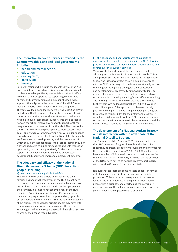# **The interaction between services provided by the Commonwealth, state and local governments, including:**

- health and mental health,
- education,
- employment,
- justice, and
- housing.

For organisations who exist in the industries which the NDIS does not interact, providing holistic supports to participants has been a challenge. The Sycamore School prides itself on providing a holistic approach to supporting students with autism, and currently employs a number of school wide supports that align with the provisions of the NDIS. These include supports such as Speech Therapy, Occupational Therapy, Wellbeing and Independent Living Skills, Social Work and Mental Health supports. Clearly, these supports fit with the service provisions under the NDIS yet, our families are not able to build these school supports into their packages, nor can the school receive any financial support for these unique school based services from the NDIS. The premise for the NDIS is to encourage participants to work towards their goals, and engage with their communities with independence through support – for a school aged autistic child, these goals are formative and developmental, and their community in which they learn independence is their school community. For a school dedicated to supporting autistic students there is an opportunity to provide appropriately funded and structured supports in an educational setting aimed at addressing educational disparity and improved employment outcomes.

# **The adequacy and efficacy of the National Disability Insurance Scheme (NDIS) for autistic people, including:**

## a) autism understanding within the NDIS,

The experience of some people with autism and their families has been that employees of the NDIS do not have a reasonable level of understanding about autism, and how best to interact and communicate with autistic people and their families. It is important that employees of the NDIS, Local Area Co-ordinators, and Support Co-ordinators have the necessary expertise to best support and engage with autistic people and their families. This includes understanding about autism, the challenges autistic people may have with communication and social communication, the level of knowledge families and support networks have about services as well as their capacity to advocate.

#### b) the adequacy and appropriateness of supports to empower autistic people to participate in the NDIS planning process, and exercise self-determination through choice and control over their support services.

We advocate for and support the importance of selfadvocacy and self-determination for autistic people. This is an important skill we instil in our students at The Sycamore School and just as we expect they will be able to engage with the NDIS in this way into the future, we similarly involve them in goal setting and planning for their educational and developmental progress. By empowering students to describe their wants, needs and challenges, our teaching teams are able to develop meaningful and effective teaching and learning strategies for individuals, and through this, further their own pedagogical practices (Zuber & Webber, 2019). The impact of this approach has been extremely positive, resulting in students taking ownership of the goals they set, and responsibility for their effort and progress. It would be a highly valuable skill the NDIS could promote and support for autistic adults in particular, who have not had the opportunities students at The Sycamore School receive.

# **The development of a National Autism Strategy and its interaction with the next phase of the National Disability Strategy**

The National Disability Strategy (NDS) aimed at addressing the UN Convention of Rights of People with a Disability, specifically addresses areas for improvement and priorities for the Federal Government from 2010 – 2020. While there have been a number of initiatives introduced in that time, we find that efforts in the past ten years, even with the introduction of the NDIS, have not led to notable progress, particularly with regard to Outcome 5 Learning and Skills.

It is evident that there are some notable benefits in having a strategy aimed specifically at supporting the autistic population. This comes as a consequence of the broader focus of the NDS in addressing the general population of people with a disability, and overlooking the particularly poor outcomes of the autistic population compared with the general population of people with a disability.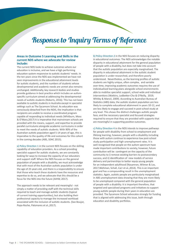# Response to Inquiry Terms of Reference

## **Areas in Outcome 5 Learning and Skills in the current NDS where we advocate for review include:**

The current NDS looks to achieve outcomes where our education is inclusive, and we have a high performing education system responsive to autistic students' needs. In the ten years since the NDS was implemented we have not seen improvements in the educational attainment levels for autistic students, and the numbers of students whose developmental and academic needs are unmet also remains unchanged. Additionally, key research bodies and studies provide guidance in best practice which includes an autismspecific curriculum aimed at addressing the developmental needs of autistic students (Roberts, 2016). This has not been available to autistic students in Australia except in specialist settings such as The Sycamore School. As education was consciously detached from the NDIS, the implication is that recipients are unable to receive a coordinated program capable of responding to individual needs (Whitburn, Moss & O'Mara,2017) It is imperative that mainstream schools are provided with the means, support, and expertise to provide parallel curriculums alongside academic curriculums in order to meet the needs of autistic students. With 90% of the Australian autistic population aged 5-14 years of age, this is imperative to the quality of life and outcomes for this cohort in the coming decades (ABS, SDAC 2015).

a) Policy Direction 1 in the current NDS focuses on the skilling capability of education providers. As a school providing specialist support for autistic students, we are constantly looking for ways to increase the capacity of our educators and support staff. Where the NDS focuses on the general population of people with a disability, we must acknowledge that with most of the Australian autistic population is under the age of 25 years old, and there is a responsibility to ensure that those who teach these students have the resources and expertise to do so, and we advocate that this should be a focus for the NDS into the future (AIHW, 2017).

The approach needs to be relevant and meaningful - not simply a matter of providing staff with the technical skills required to teach and manage autistic students (typical of current training opportunities), but also building their professional capacity to manage the increased workload associated with the inclusion of autistic students. (See Boujut, Popa-Roche, Palomares et al.,2017).

b) Policy Direction 2 in the NDS focuses on reducing disparity in educational outcomes. The NDS acknowledges the notable disparity in educational attainment for the general population of people with a disability, but does not take into account that the autistic population are especially marginalised. The disparity in educational attainment in the autistic student population is under-researched, and therefore poorly understood. Nevertheless, as the learning profiles of autistic students are highly unique, often complex, and variable over time, improving academic outcomes requires the use of individualised learning plans alongside school environments able to mobilise specialist support, school wide and individual interventions (Watkins, Ledbetter-Cho & O'Reilly, 2019; Whitby & Mancil, 2009). According to Australian Bureau of Statistics (ABS) data, the autistic student population are less likely to complete educational attainment in years 10-12, and are less likely to engage and succeed in post-school study at any level. This shows the distinct challenges autistic people face, and the necessary specialist and focused strategies required to ensure that they are provided with supports that are meaningful in supporting positive outcomes.

c) Policy Direction 4 in the NDS intends to improve pathways for people with disability from school to employment and lifelong learning, however, people with a disability including those with autism continue to experience low post-school study participation and high unemployment rates. It is well recognised that people on the autism spectrum have made important contributions to society, however, future contribution will be contingent on the capacity of the community to i) remove existing barriers to postsecondary success, and ii) identification of new models of service delivery and partnerships to better equip young people for an independent adulthood (Nasamran, Witmer & Los, 2017;Wehman, Schall, Carr et al.,2014). This is an important goal and has a compounding result in the unemployment statistics. Again, autistic people are particularly marginalised in ABS unemployment data showing that they are more likely to be unemployed compared with the general population of people with a disability. It is important therefore, that targeted and specialised programs and initiatives to support young autistic people during their years in education are provided. The Sycamore School advocates strongly for funding that is aligned with addressing this issue, both through education and disability portfolios.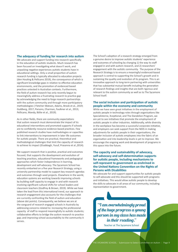#### **The adequacy of funding for research into autism**

We advocate and support funding into research specifically in the education of autistic students. Much research has been focused on investigating what doesn't work, and unpacking negative experiences autistic students have in educational settings. Only a small proportion of autism research funding is typically allocated to education projects (den Houting & Pellicano 2019), the consequence of which is significant knowledge gaps in relation to effective education environments, and the promotion of evidenced based practices untested in Australian contexts. Furthermore, the field of autism research has only recently begun to meaningfully address a frustrating research to practice gap by acknowledging the need to forge research partnerships with the autism community and through more participatory methodologies ( Fletcher-Watson, Adams, Brook et al., 2019; Guldberg, 2017; Parsons, Charman, Faulkner et al., 2013; Pellicano, Mandy, Bölte et al., 2019).

As in other fields, there are community expectations that autism research must demonstrate the impact of its educational interventions and promoted supports if schools are to confidently resource evidence-based practices. Few published research studies have methodologies or capacities to link interventions to improvement in later life outcomes for autistic people. There are practical, theoretical and methodological challenges that limit the capacity of research to achieve its impact (Elsabbagh, Yusuf, Prasanna et al.,2014).

We support research that is positive, practical and outcomes focused, that supports the development and evolution of teaching practices, educational frameworks and pedagogical approaches which foster independence in learning, development and self-advocacy. The Sycamore School has recently embarked on a five year Research Strategy, using a university partnership model to support key research agendas and outcomes through seed projects. Elsewhere in the world, education systems are working towards improving schools by building staff capacity to engage in and with research involving significant cultural shifts for school leaders and classroom teachers (Godfrey & Brown, 2019). While we have taken the lead from this international trend, our approach to research engagement also accounts for the challenges that are currently confronting the field of autism and education (above dot points). Consequently, we believe we are at the vanguard of research engaged schools in Australia by addressing concerns related to: increasing the professional capacity of staff to respond meaningfully to autistic students; collaborative efforts to bridge the autism research to practice gap; and improving school accountability to the community it serves.

The School's adoption of a research strategy emerged from a genuine desire to improve autistic students' experience and outcomes of schooling by changing 1) the way its staff engaged in and with autism research, and 2) researchers' engagement with the autistic community. The purpose of the Research Strategy is to ensure a meaningful evidenced-based approach is central to supporting the School's growth and in sustaining the quality and evolution of its program. This is an innovative approach to long-term partnering with universities that has substantial mutual benefit including the generation of research findings and insights that are both rigorous and relevant to the autism community as well as to The Sycamore School itself.

### **The social inclusion and participation of autistic people within the economy and community**

While we have seen great initiatives in the employment of autistic people in technology roles through organisations like Specialisterne, Xceptional, and The Dandelion Program, we are yet to see initiatives that promote the employment of autistic people in other industries. Additionally, while diversity in the workplace has become a successful corporate initiative, and employers can seek support from the NDIS in making adjustments for autistic people in their organisations, the broader inclusion of autistic employees into the fabric of an organisation and into leadership levels is yet to improve. We encourage the ongoing work and development of programs in this space into the future.

# **The capacity and sustainability of advocacy, self-advocacy and self-determination supports for autistic people, including mechanisms to self-represent to government as enshrined in the United Nations Convention on the Rights of Persons with Disabilities**

We advocate for and support opportunities for autistic people to self-advocate and this should be supported with programs and initiatives. This would allow autistic people to develop the skills to advocate in all areas of our community, including representation to government.

"I am overwhelmingly proud of the huge progress a young person in my class has made in their reading."

Teacher at The Sycamore School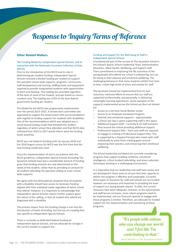# Response to Inquiry Terms of Reference

### **Other Related Matters.**

### The Funding Model for Independent Special Schools, and its interaction with the Nationally Consistent Collection of Data (NCCD)

Prior to the introduction of the NCCD and its role in determining per student funding, Independent Special Schools received a blanket loading per student to support the specialist school-wide supports, programs, curriculums, staff development and training, staffing levels and equipment required to provide marginalised students with opportunities to learn and develop. This loading was provided regardless of the level of need of the student, and was based on census numbers only. The loading was 223% of the base federal government funding per student.

The Model for the NCCD was progressively implemented over the period 2013–2015. A Senate elect committee was appointed to support the Government with recommendations with regards to funding supports for students with disabilities. One of the recommendations which was adopted was a needs-based funding model that followed the student regardless of which school they attended, and that NCCD data collected from 2013 to 2017 would inform what the funding levels would be.

NCCD was not linked to funding until 1st January 2018 and the 2018 August census for NCCD was the first time that the new funding model was used.

Since the implementation of and in accordance with the NCCD guidelines, Independent Special Schools (including The Sycamore School) have lost a considerable amount of funding, given that funding amounts are now determined on the needs of the student, rather than by providing an amount for all students attending the specialist setting to cover schoolwide supports.

We agree with the philosophical viewpoint that all students with a disability should have access to necessary funding aligned with their individual needs regardless of which school they attend. However, it is important to acknowledge that Independent Special Schools require further support given the nature of the setting, in that all student who attend are diagnosed with a disability.

The primary impact from this funding change is not only the introduction of levels of funding, but the loss of a loading that was specific to Independent Special Schools.

There is currently no dedicated federal funding for Independent Special Schools, and we advocate for change in the current models to support this.

#### Funding and Support for the Well-being of Staff in Independent Special Schools

A fundamental part of the success of The Sycamore School is the School's Board, School Leadership Team, Administration, Education, Allied Health, Wellbeing, and Support staff. Their commitment to improving the life outcomes of the young people who attend our school is unwavering, but can be taxing to their physical and emotional wellbeing. The challenging behaviours that some students exhibit from time to time, create high levels of stress and anxiety for staff.

The Sycamore School has implemented from its own resources, intensive efforts to ensure that our staff are supported professionally, and personally, in delivering meaningful learning experiences. Some examples of the supports implemented across the School are (but not limited to):

- Access to a full-time Social Worker onsite.
- Access to an Employee Assistance Program.
- Debriefs and emotional supports approximately 2.5hours per day is spent supporting staff in this space.
- Additional Support Staff currently 8-10 staff members float around the school providing additional support.
- Professional Support Plan Each year staff are required to engage in creating a Professional Support Plan. This is supported by a Deputy Principal who meets with staff individually to assist them creating goals around improving their practice, and enhancing their emotional wellbeing.

The School leadership and Board are currently considering programs that support building resilience, emotional intelligence, critical incident debriefing, and stress reduction techniques working in a challenging environment.

It is imperative that our leadership and staff have access and are developed in these areas to ensure that their capacity to deliver the program is effective and sustainable. Currently these types of resources for staff and schools are not funded, however are necessary and important in providing the level of support our young people require. To date, the current measures have been adequate, however, as the school grows and staff tenure increases, more robust programs need to be implemented, and our financial capacity to engage with these programs is limited. Therefore, we advocate for funded support for the implementation and monitoring of these programs.

> "It's people with autism who can change our world and I feel like I'm contributing to that."

Social Worker ar The Sycamore School

Page 10 | THE SYCAMORE SCHOOL - Submission to Select Committee on Autism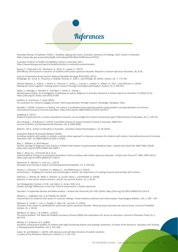

Australian Bureau of Statistics, 4430.0 - Disability, Ageing and Carers, Australia: Summary of Findings, 2015, Autism in Australia. https://www.abs.gov.au/ausstats/abs@.nsf/Lookup/4430.0Main%20Features752015

Australian Institute of Health and Welfare, Autism in Australia, 2017. https://www.aihw.gov.au/reports/disability/autism-in-australia/contents/autism

Boujut, E., Popa-Roch, M., Palomares, E., Dean, A., Cappe, E., (2017). Self-efficacy and burnout in teachers of students with autism spectrum disorder. Research in Autism Spectrum Disorders, 36, 8-20.

Council of Australian Governments, National Disability Strategy 2010-2020, (2011). Elsabbagh, M., Yusuf, A., Prasanna, S, Shikako-Thomas, K., Ruff, C. and Fehlings, M. (2014). Autism, 18, 7, 771-781.

Fletcher-Watson, S., Adams, J., Brook, K., Charman, T., Crane, L., Cusack, J., Leekam, S., Milton, D., Parr, J. and Pellicano, E. (2019). Making the future together: shaping autism research through meaningful participation. Autism, 23, 4, 943-953.

Gibbs, V., Aldridge, F., Sburlati, E., Chandler, F., Smith, K., Cheng, L., Missed opportunities: An investigation of pathways to autism diagnosis in Australia. Research in Autism Spectrum Disorders 57 (2019) 55-62 https://doi.org/10.1016/j.rasd.2018.10.007

Godfrey, D. and Brown, C. (eds) (2019).

An ecosystem for research-engaged schools: reforming education through research. Routledge: Abingdon, Oxon.

Goodall, C. (2018). Inclusion is a feeling, not a place: a qualitative study exploring autistic young people's conceptualisations of inclusion. International Journal of Inclusive Education. https://doi.org/10.1080/13603116.2018.1523475

Guldberg, K. (2017).

Evidence-based practice in autism educational research: can we bridge the research and practice gap? Oxford Review of Education, 43, 2, 149-161.

den Houting, J., & Pellicano, E. (2019). A portfolio analysis of autism research funding in Australia, 2008-2017. Journal of Autism and Developmental Disorders, 49, 4, 4400-4408.

Roberts, J.M.A., Autism in Education in Australia. Australian Clinical Psychologist 1, 21-26 (2015).

Jacqueline Roberts & Amanda Webster (2020)

Including students with autism in schools: a whole school approach to improve outcomes for students with autism, International Journal of Inclusive Education, DOI: 10.1080/13603116.2020.1712622

May, T., Williams, K. Brief Report:

Gender and Age of Diagnosis Time Trends in Children with Autism Using Australian Medicare Data. J Autism Dev Disord 48, 4056–4062 (2018). https://doi.org/10.1007/s10803-018-3609-7

May, T., Pang, K.C., O'Connell, M.A. et al. Typical Pubertal Timing in an Australian Population of Girls and Boys with Autism Spectrum Disorder. J Autism Dev Disord 47, 3983–3993 (2017). https://doi.org/10.1007/s10803-017-3281-3

Nasamran, A., Witmer, S., and Los, J. (2017). Education and Training in Autism and Developmental Disabilities, 52, 4, 343-356.

Parons, S., Charman, T., Faulkner, R., Wallace, S., and Wittemeyer, K. (2013) Commentary – bridging the research and practice gap in autism: the importance of creating research partnerships with schools.

Pellicano, L., Mandy, W., Bölte, S, Stahmer, A, Lounds Taylor, J. and Mandell, D. (2018). Editorial: A new era for autism research, and for our journal. Autism, 22, 2, 82-83.

Van Wijngaarden-Cremers, P.J.M., van Eeten, E., Groen, W.B. et al. Gender and Age Differences in the Core Triad of Impairments in Autism Spectrum

Disorders: A Systematic Review and Meta-analysis. J Autism Dev Disord 44, 627–635 (2014). https://doi.org/10.1007/s10803-013-1913-9

Watkins, L., Ledbetter-Cho, K. & O'Reilly, M. (2019). Interventions for students with autism in inclusive settings: A best-evidence synthesis and meta-analysis. Psychological Bulletin, 145, 5, 490 – 507.

Wehman, P., Schall, C., Carr, S, Targett, P., West, M., and Cifu, G. (2014). Transition from school to adulthood for youth with autism spectrum disorder: What we know and what we need to know. Journal of Disability Studies, 25, 1, 30-40.

Whitburn, B., Moss, J. & O'Mara, J. (2017).

The policy problem: The National Disability Insurance Scheme (NDIS) and implications for access to education. Journal of Education Policy 32, 1, 467-479

Whitby, P. J. & Mancil, G.R. (2009).

Academic achievement profiles of children with high functioning Autism and Asperger Syndrome: A review of the literature. Education and Training in Developmental Disabilities. 44, 4, 551-560.

Zuber, W. and Webber, C. (2019). Self-advocacy and self-determination of autistic students: a review of the literature. Advances in Autism, 5, 2, 107-116.